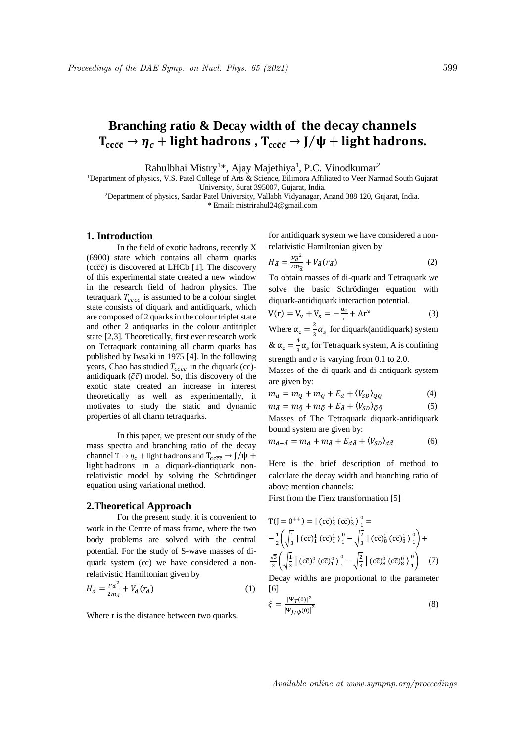# **Branching ratio & Decay width of the decay channels**  $T_{cc\bar{c}\bar{c}} \rightarrow \eta_c$  + light hadrons,  $T_{cc\bar{c}\bar{c}} \rightarrow J/\psi$  + light hadrons.

Rahulbhai Mistry<sup>1\*</sup>, Ajay Majethiya<sup>1</sup>, P.C. Vinodkumar<sup>2</sup>

<sup>1</sup>Department of physics, V.S. Patel College of Arts & Science, Bilimora Affiliated to Veer Narmad South Gujarat University, Surat 395007, Gujarat, India.

<sup>2</sup>Department of physics, Sardar Patel University, Vallabh Vidyanagar, Anand 388 120, Gujarat, India.

\* Email: mistrirahul24@gmail.com

# **1. Introduction**

In the field of exotic hadrons, recently X (6900) state which contains all charm quarks  $(cc\bar{c}\bar{c})$  is discovered at LHCb [1]. The discovery of this experimental state created a new window in the research field of hadron physics. The tetraquark  $T_{cc\bar{c}\bar{c}}$  is assumed to be a colour singlet state consists of diquark and antidiquark, which are composed of 2 quarksin the colour triplet state and other 2 antiquarks in the colour antitriplet state [2,3]. Theoretically, first ever research work on Tetraquark containing all charm quarks has published by Iwsaki in 1975 [4]. In the following years, Chao has studied  $T_{cc\bar{c}\bar{c}}$  in the diquark (cc)antidiquark ( $\bar{c}\bar{c}$ ) model. So, this discovery of the exotic state created an increase in interest theoretically as well as experimentally, it motivates to study the static and dynamic properties of all charm tetraquarks.

In this paper, we present our study of the mass spectra and branching ratio of the decay channel T  $\rightarrow \eta_c$  + light hadrons and  $T_{cc\bar{c}\bar{c}} \rightarrow J/\psi$  + light hadrons in a diquark-diantiquark nonrelativistic model by solving the Schrödinger equation using variational method.

### **2.Theoretical Approach**

For the present study, it is convenient to work in the Centre of mass frame, where the two body problems are solved with the central potential. For the study of S-wave masses of diquark system (cc) we have considered a nonrelativistic Hamiltonian given by

$$
H_d = \frac{p_d^2}{2m_d} + V_d(r_d)
$$
 (1)

Where r is the distance between two quarks.

for antidiquark system we have considered a nonrelativistic Hamiltonian given by

$$
H_{\bar{d}} = \frac{p_{\bar{d}}^2}{2m_{\bar{d}}} + V_{\bar{d}}(r_{\bar{d}})
$$
\n<sup>(2)</sup>

To obtain masses of di-quark and Tetraquark we solve the basic Schrödinger equation with diquark-antidiquark interaction potential.

$$
V(r) = V_v + V_s = -\frac{\alpha_c}{r} + Ar^{\nu}
$$
 (3)

Where  $\alpha_c = \frac{2}{3}$  $\frac{2}{3} \alpha_s$  for diquark(antidiquark) system  $\& \alpha_c = \frac{4}{3}$  $\frac{4}{3}\alpha_s$  for Tetraquark system, A is confining

strength and  $\nu$  is varying from 0.1 to 2.0.

Masses of the di-quark and di-antiquark system are given by:

$$
m_d = m_Q + m_Q + E_d + \langle V_{SD} \rangle_{QQ} \tag{4}
$$

$$
m_{\bar{d}} = m_{\bar{Q}} + m_{\bar{Q}} + E_{\bar{d}} + \langle V_{SD} \rangle_{\bar{Q}\bar{Q}} \tag{5}
$$

Masses of The Tetraquark diquark-antidiquark bound system are given by:

$$
m_{d-\bar{d}} = m_d + m_{\bar{d}} + E_{d\bar{d}} + \langle V_{SD} \rangle_{d\bar{d}} \tag{6}
$$

Here is the brief description of method to calculate the decay width and branching ratio of above mention channels:

First from the Fierz transformation [5]

$$
T(J = 0^{++}) = | (c\overline{c})^1_3 (c\overline{c})^1_3 \rangle^0_1 =
$$
  

$$
-\frac{1}{2} \left( \sqrt{\frac{1}{3}} | (c\overline{c})^1_1 (c\overline{c})^1_1 \rangle^0_1 - \sqrt{\frac{2}{3}} | (c\overline{c})^1_8 (c\overline{c})^1_8 \rangle^0_1 \right) +
$$
  

$$
\frac{\sqrt{3}}{2} \left( \sqrt{\frac{1}{3}} | (c\overline{c})^0_1 (c\overline{c})^0_1 \rangle^0_1 - \sqrt{\frac{2}{3}} | (c\overline{c})^0_8 (c\overline{c})^0_8 \rangle^0_1 \right) (7)
$$
  
Decay widths are proportional to the parameter

Decay widths are proportional to the parameter [6]

$$
\xi = \frac{|\Psi_T(0)|^2}{|\Psi_{J/\psi}(0)|^2} \tag{8}
$$